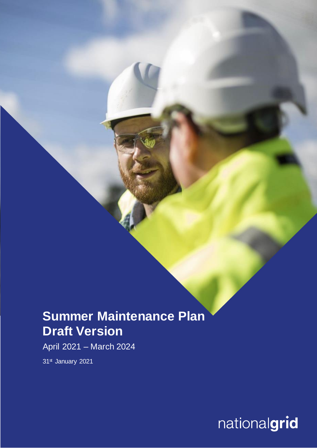## **Summer Maintenance Plan Draft Version**

April 2021 – March 2024

31st January 2021

nationalgrid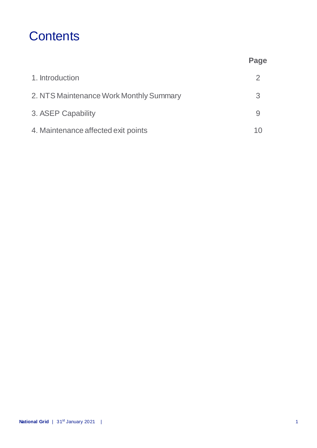## **Contents**

|                                         | Page |
|-----------------------------------------|------|
| 1. Introduction                         | 2    |
| 2. NTS Maintenance Work Monthly Summary | 3    |
| 3. ASEP Capability                      |      |
| 4. Maintenance affected exit points     |      |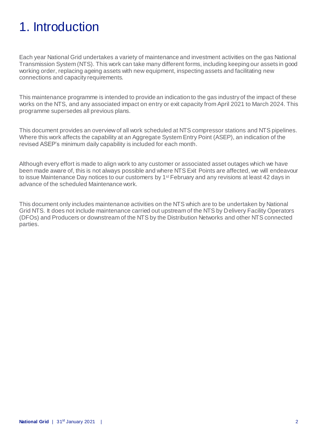# 1. Introduction

Each year National Grid undertakes a variety of maintenance and investment activities on the gas National Transmission System (NTS). This work can take many different forms, including keeping our assets in good working order, replacing ageing assets with new equipment, inspecting assets and facilitating new connections and capacity requirements.

This maintenance programme is intended to provide an indication to the gas industry of the impact of these works on the NTS, and any associated impact on entry or exit capacity from April 2021 to March 2024. This programme supersedes all previous plans.

This document provides an overview of all work scheduled at NTS compressor stations and NTS pipelines. Where this work affects the capability at an Aggregate System Entry Point (ASEP), an indication of the revised ASEP's minimum daily capability is included for each month.

Although every effort is made to align work to any customer or associated asset outages which we have been made aware of, this is not always possible and where NTS Exit Points are affected, we will endeavour to issue Maintenance Day notices to our customers by 1<sup>st</sup> February and any revisions at least 42 days in advance of the scheduled Maintenance work.

This document only includes maintenance activities on the NTS which are to be undertaken by National Grid NTS. It does not include maintenance carried out upstream of the NTS by Delivery Facility Operators (DFOs) and Producers or downstream of the NTS by the Distribution Networks and other NTS connected parties.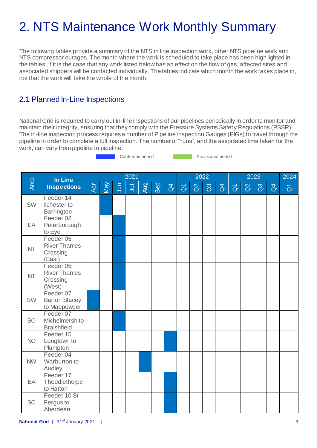# 2. NTS Maintenance Work Monthly Summary

The following tables provide a summary of the NTS in line inspection work, other NTS pipeline work and NTS compressor outages. The month where the work is scheduled to take place has been high lighted in the tables. If it is the case that any work listed belowhas an effect on the flow of gas, affected sites and associated shippers will be contacted individually. The tables indicate which month the work takes place in, not that the work will take the whole of the month.

### 2.1 Planned In-Line Inspections

National Grid is required to carry out in-line inspections of our pipelines periodically in order to monitor and maintain their integrity, ensuring that they comply with the Pressure Systems Safety Regulations (PSSR). The in-line inspection process requires a number of Pipeline Inspection Gauges (PIGs) to travel through the pipeline in order to complete a full inspection. The number of "runs", and the associated time taken for the work, can vary from pipeline to pipeline.

= Confirmed period = Provisional period

|           | In Line                                                |     |     |            | 2021      |            |     |                |                   | 2022     |          |                |                | 2024     |                |                |                     |
|-----------|--------------------------------------------------------|-----|-----|------------|-----------|------------|-----|----------------|-------------------|----------|----------|----------------|----------------|----------|----------------|----------------|---------------------|
| Area      | <b>Inspections</b>                                     | Apr | May | <b>Jun</b> | $\bar{z}$ | <b>Aug</b> | Sep | $\overline{d}$ | $\overline{\eth}$ | $\alpha$ | $\Omega$ | $\overline{d}$ | $\overline{O}$ | $\alpha$ | $\mathbb{S}^3$ | $\overline{d}$ | $\overline{\sigma}$ |
| <b>SW</b> | Feeder 14<br><b>Ilchester</b> to<br>Barrington         |     |     |            |           |            |     |                |                   |          |          |                |                |          |                |                |                     |
| EA        | Feeder <sub>02</sub><br>Peterborough<br>to Eye         |     |     |            |           |            |     |                |                   |          |          |                |                |          |                |                |                     |
| <b>NT</b> | Feeder 05<br><b>River Thames</b><br>Crossing<br>(East) |     |     |            |           |            |     |                |                   |          |          |                |                |          |                |                |                     |
| <b>NT</b> | Feeder 05<br><b>River Thames</b><br>Crossing<br>(West) |     |     |            |           |            |     |                |                   |          |          |                |                |          |                |                |                     |
| <b>SW</b> | Feeder 07<br><b>Barton Stacey</b><br>to Mappowder      |     |     |            |           |            |     |                |                   |          |          |                |                |          |                |                |                     |
| <b>SO</b> | Feeder 07<br>Michelmersh to<br><b>Braishfield</b>      |     |     |            |           |            |     |                |                   |          |          |                |                |          |                |                |                     |
| <b>NO</b> | Feeder 15<br>Longtown to<br>Plumpton                   |     |     |            |           |            |     |                |                   |          |          |                |                |          |                |                |                     |
| <b>NW</b> | Feeder 04<br>Warburton to<br>Audley                    |     |     |            |           |            |     |                |                   |          |          |                |                |          |                |                |                     |
| EA        | Feeder 17<br>Theddlethorpe<br>to Hatton                |     |     |            |           |            |     |                |                   |          |          |                |                |          |                |                |                     |
| <b>SC</b> | Feeder 10 St<br>Fergus to<br>Aberdeen                  |     |     |            |           |            |     |                |                   |          |          |                |                |          |                |                |                     |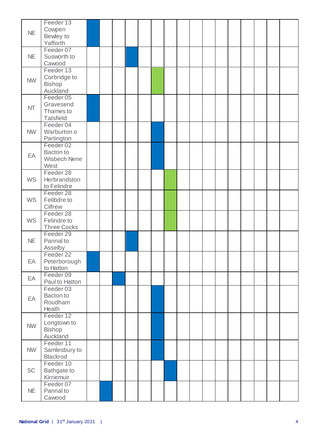| <b>NE</b> | Feeder 13<br>Cowpen<br>Bewley to<br>Yafforth            |  |  |  |  |  |  |  |  |
|-----------|---------------------------------------------------------|--|--|--|--|--|--|--|--|
| <b>NE</b> | Feeder 07<br>Susworth to<br>Cawood                      |  |  |  |  |  |  |  |  |
| <b>NW</b> | Feeder 13<br>Corbridge to<br>Bishop<br>Auckland         |  |  |  |  |  |  |  |  |
| <b>NT</b> | Feeder 05<br>Gravesend<br>Thames to<br><b>Tatsfield</b> |  |  |  |  |  |  |  |  |
| <b>NW</b> | Feeder 04<br>Warburton o<br>Partington                  |  |  |  |  |  |  |  |  |
| EA        | Feeder 02<br>Bacton to<br><b>Wisbech Nene</b><br>West   |  |  |  |  |  |  |  |  |
| <b>WS</b> | Feeder 28<br>Herbrandston<br>to Felindre                |  |  |  |  |  |  |  |  |
| <b>WS</b> | Feeder 28<br>Felibdre to<br>Cilfrew                     |  |  |  |  |  |  |  |  |
| <b>WS</b> | Feeder 28<br>Felindre to<br><b>Three Cocks</b>          |  |  |  |  |  |  |  |  |
| NE        | Feeder 29<br>Pannal to<br>Asselby                       |  |  |  |  |  |  |  |  |
| EA        | Feeder 22<br>Peterborough<br>to Hatton                  |  |  |  |  |  |  |  |  |
| EA        | Feeder 09<br>Paul to Hatton                             |  |  |  |  |  |  |  |  |
| EA        | Feeder 03<br>Bacton to<br>Roudham<br>Heath              |  |  |  |  |  |  |  |  |
| <b>NW</b> | Feeder 12<br>Longtown to<br>Bishop<br>Auckland          |  |  |  |  |  |  |  |  |
| <b>NW</b> | Feeder 11<br>Samlesbury to<br>Blackrod                  |  |  |  |  |  |  |  |  |
| <b>SC</b> | Feeder 10<br>Bathgate to<br>Kirriemuir                  |  |  |  |  |  |  |  |  |
| NE.       | Feeder 07<br>Pannal to<br>Cawood                        |  |  |  |  |  |  |  |  |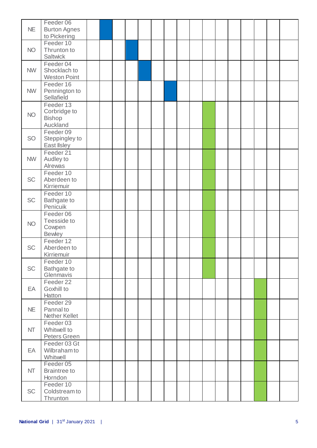| <b>NE</b> | Feeder 06<br><b>Burton Agnes</b><br>to Pickering       |  |  |  |  |  |  |  |  |
|-----------|--------------------------------------------------------|--|--|--|--|--|--|--|--|
| <b>NO</b> | Feeder 10<br>Thrunton to<br>Saltwick                   |  |  |  |  |  |  |  |  |
| <b>NW</b> | Feeder 04<br>Shocklach to<br><b>Weston Point</b>       |  |  |  |  |  |  |  |  |
| <b>NW</b> | Feeder 16<br>Pennington to<br>Sellafield               |  |  |  |  |  |  |  |  |
| <b>NO</b> | Feeder 13<br>Corbridge to<br><b>Bishop</b><br>Auckland |  |  |  |  |  |  |  |  |
| SO        | Feeder 09<br>Steppingley to<br>East IIsley             |  |  |  |  |  |  |  |  |
| <b>NW</b> | Feeder 21<br>Audley to<br>Alrewas                      |  |  |  |  |  |  |  |  |
| <b>SC</b> | Feeder 10<br>Aberdeen to<br>Kirriemuir                 |  |  |  |  |  |  |  |  |
| <b>SC</b> | Feeder 10<br>Bathgate to<br>Penicuik                   |  |  |  |  |  |  |  |  |
| <b>NO</b> | Feeder 06<br>Teesside to<br>Cowpen<br><b>Bewley</b>    |  |  |  |  |  |  |  |  |
| <b>SC</b> | Feeder 12<br>Aberdeen to<br>Kirriemuir                 |  |  |  |  |  |  |  |  |
| <b>SC</b> | Feeder 10<br>Bathgate to<br>Glenmavis                  |  |  |  |  |  |  |  |  |
| EA        | Feeder 22<br>Goxhill to<br>Hatton                      |  |  |  |  |  |  |  |  |
| NE        | Feeder 29<br>Pannal to<br>Nether Kellet                |  |  |  |  |  |  |  |  |
| <b>NT</b> | Feeder 03<br>Whitwell to<br><b>Peters Green</b>        |  |  |  |  |  |  |  |  |
| EA        | Feeder 03 Gt<br>Wilbraham to<br>Whitwell               |  |  |  |  |  |  |  |  |
| <b>NT</b> | Feeder 05<br><b>Braintree to</b><br>Horndon            |  |  |  |  |  |  |  |  |
| <b>SC</b> | Feeder 10<br>Coldstream to<br>Thrunton                 |  |  |  |  |  |  |  |  |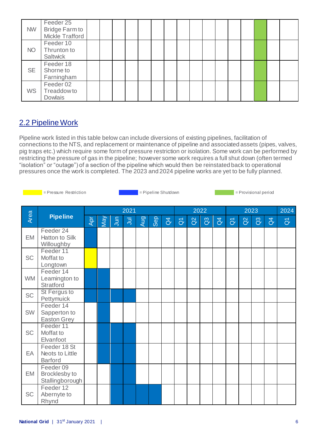| <b>NW</b> | Feeder 25<br><b>Bridge Farm to</b><br>Mickle Trafford |  |  |  |  |  |  |  |  |
|-----------|-------------------------------------------------------|--|--|--|--|--|--|--|--|
| <b>NO</b> | Feeder 10<br>Thrunton to<br>Saltwick                  |  |  |  |  |  |  |  |  |
| <b>SE</b> | Feeder 18<br>Shorne to<br>Farningham                  |  |  |  |  |  |  |  |  |
| <b>WS</b> | Feeder 02<br><b>Treaddowto</b><br><b>Dowlais</b>      |  |  |  |  |  |  |  |  |

## 2.2 Pipeline Work

Pipeline work listed in this table below can include diversions of existing pipelines, facilitation of connections to the NTS, and replacement or maintenance of pipeline and associated assets (pipes, valves, pig traps etc.) which require some form of pressure restriction or isolation. Some work can be performed by restricting the pressure of gas in the pipeline; however some work requires a full shut down (often termed "isolation" or "outage") of a section of the pipeline which would then be reinstated back to operational pressures once the work is completed. The 2023 and 2024 pipeline works are yet to be fully planned.

Area **Pipeline** 2021 2022 2023 2024 Apr  $\mathsf{M}$ Jun  $\overline{B}$ Aug Sep  $\beta$  $\overline{\alpha}$  $\alpha$  $\mathfrak{S}$  $\beta$  $\overline{\alpha}$  $\alpha$  $\mathcal{C}$  $\overline{d}$  $\overline{\alpha}$ EM Feeder 24 Hatton to Silk **Willoughby SC** Feeder 11 Moffat to Longtown WM Feeder 14 Leamington to **Stratford SC** St Fergus to **Pettymuick** SW Feeder 14 Sapperton to Easton Grey SC Feeder 11 Moffat to Elvanfoot EA Feeder 18 St Neots to Little **Barford** EM Feeder 09 Brocklesby to **Stallingborough** SC Feeder 12 Abernyte to Rhynd = Pressure Restriction = Pipeline Shutdown = Provisional period = Provisional period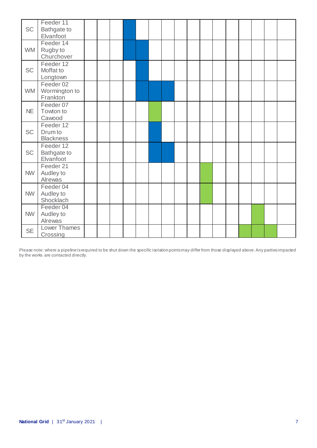| <b>SC</b> | Feeder 11<br>Bathgate to<br>Elvanfoot        |  |  |  |  |  |  |  |  |
|-----------|----------------------------------------------|--|--|--|--|--|--|--|--|
| <b>WM</b> | Feeder 14<br>Rugby to<br>Churchover          |  |  |  |  |  |  |  |  |
| <b>SC</b> | Feeder 12<br>Moffat to<br>Longtown           |  |  |  |  |  |  |  |  |
| <b>WM</b> | Feeder 02<br>Wormington to<br>Frankton       |  |  |  |  |  |  |  |  |
| <b>NE</b> | Feeder 07<br>Towton to<br>Cawood             |  |  |  |  |  |  |  |  |
| <b>SC</b> | Feeder 12<br>Drum to<br><b>Blackness</b>     |  |  |  |  |  |  |  |  |
| <b>SC</b> | Feeder 12<br><b>Bathgate to</b><br>Elvanfoot |  |  |  |  |  |  |  |  |
| <b>NW</b> | Feeder 21<br>Audley to<br>Alrewas            |  |  |  |  |  |  |  |  |
| <b>NW</b> | Feeder 04<br>Audley to<br>Shocklach          |  |  |  |  |  |  |  |  |
| <b>NW</b> | Feeder 04<br>Audley to<br>Alrewas            |  |  |  |  |  |  |  |  |
| <b>SE</b> | <b>Lower Thames</b><br>Crossing              |  |  |  |  |  |  |  |  |

Please note: where a pipeline is required to be shut down the specific isolation points may differ from those displayed above. Any parties impacted by the works are contacted directly.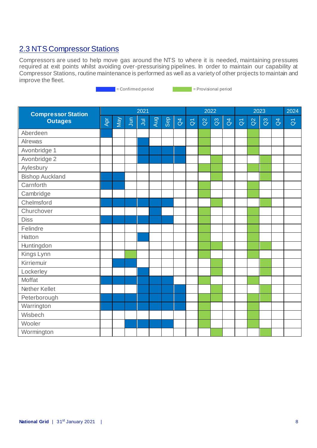### 2.3 NTS Compressor Stations

Compressors are used to help move gas around the NTS to where it is needed, maintaining pressures required at exit points whilst avoiding over-pressurising pipelines. In order to maintain our capability at Compressor Stations, routine maintenance is performed as well as a variety of other projects to maintain and improve the fleet.

= Confirmed period = Provisional period

| <b>Compressor Station</b> |     |     |                | 2021  |     |            |                |                     |          | 2022           |                |                     |          | 2023           |                | 2024                   |
|---------------------------|-----|-----|----------------|-------|-----|------------|----------------|---------------------|----------|----------------|----------------|---------------------|----------|----------------|----------------|------------------------|
| <b>Outages</b>            | Apr | Vay | $\overline{5}$ | $\Xi$ | Aug | <b>Gep</b> | $\overline{d}$ | $\overline{\delta}$ | $\alpha$ | $\overline{a}$ | $\overline{d}$ | $\overline{\sigma}$ | $\alpha$ | $\mathbb{S}^3$ | $\overline{d}$ | $\overline{\tilde{O}}$ |
| Aberdeen                  |     |     |                |       |     |            |                |                     |          |                |                |                     |          |                |                |                        |
| <b>Alrewas</b>            |     |     |                |       |     |            |                |                     |          |                |                |                     |          |                |                |                        |
| Avonbridge 1              |     |     |                |       |     |            |                |                     |          |                |                |                     |          |                |                |                        |
| Avonbridge 2              |     |     |                |       |     |            |                |                     |          |                |                |                     |          |                |                |                        |
| Aylesbury                 |     |     |                |       |     |            |                |                     |          |                |                |                     |          |                |                |                        |
| <b>Bishop Auckland</b>    |     |     |                |       |     |            |                |                     |          |                |                |                     |          |                |                |                        |
| Carnforth                 |     |     |                |       |     |            |                |                     |          |                |                |                     |          |                |                |                        |
| Cambridge                 |     |     |                |       |     |            |                |                     |          |                |                |                     |          |                |                |                        |
| Chelmsford                |     |     |                |       |     |            |                |                     |          |                |                |                     |          |                |                |                        |
| Churchover                |     |     |                |       |     |            |                |                     |          |                |                |                     |          |                |                |                        |
| <b>Diss</b>               |     |     |                |       |     |            |                |                     |          |                |                |                     |          |                |                |                        |
| Felindre                  |     |     |                |       |     |            |                |                     |          |                |                |                     |          |                |                |                        |
| Hatton                    |     |     |                |       |     |            |                |                     |          |                |                |                     |          |                |                |                        |
| Huntingdon                |     |     |                |       |     |            |                |                     |          |                |                |                     |          |                |                |                        |
| Kings Lynn                |     |     |                |       |     |            |                |                     |          |                |                |                     |          |                |                |                        |
| Kirriemuir                |     |     |                |       |     |            |                |                     |          |                |                |                     |          |                |                |                        |
| Lockerley                 |     |     |                |       |     |            |                |                     |          |                |                |                     |          |                |                |                        |
| Moffat                    |     |     |                |       |     |            |                |                     |          |                |                |                     |          |                |                |                        |
| Nether Kellet             |     |     |                |       |     |            |                |                     |          |                |                |                     |          |                |                |                        |
| Peterborough              |     |     |                |       |     |            |                |                     |          |                |                |                     |          |                |                |                        |
| Warrington                |     |     |                |       |     |            |                |                     |          |                |                |                     |          |                |                |                        |
| Wisbech                   |     |     |                |       |     |            |                |                     |          |                |                |                     |          |                |                |                        |
| Wooler                    |     |     |                |       |     |            |                |                     |          |                |                |                     |          |                |                |                        |
| Wormington                |     |     |                |       |     |            |                |                     |          |                |                |                     |          |                |                |                        |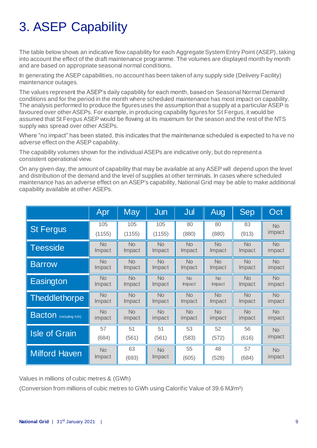# 3. ASEP Capability

The table below shows an indicative flow capability for each Aggregate System Entry Point (ASEP), taking into account the effect of the draft maintenance programme. The volumes are displayed month by month and are based on appropriate seasonal normal conditions.

In generating the ASEP capabilities, no account has been taken of any supply side (Delivery Facility) maintenance outages.

The values represent the ASEP's daily capability for each month, based on Seasonal Normal Demand conditions and for the period in the month where scheduled maintenance has most impact on capability. The analysis performed to produce the figures uses the assumption that a supply at a particular ASEP is favoured over other ASEPs. For example, in producing capability figures for St Fergus, it would be assumed that St Fergus ASEP would be flowing at its maximum for the season and the rest of the NTS supply was spread over other ASEPs.

Where "no impact" has been stated, this indicates that the maintenance scheduled is expected to ha ve no adverse effect on the ASEP capability.

The capability volumes shown for the individual ASEPs are indicative only, but do represent a consistent operational view.

On any given day, the amount of capability that may be available at any ASEP will depend upon the level and distribution of the demand and the level of supplies at other terminals. In cases where scheduled maintenance has an adverse effect on an ASEP's capability, National Grid may be able to make additional capability available at other ASEPs.

|                               | Apr            | <b>May</b> | Jun       | Jul       | Aug            | <b>Sep</b> | Oct       |
|-------------------------------|----------------|------------|-----------|-----------|----------------|------------|-----------|
| <b>St Fergus</b>              | 105            | 105        | 105       | 80        | 80             | 83         | <b>No</b> |
|                               | (1155)         | (1155)     | (1155)    | (880)     | (880)          | (913)      | impact    |
| <b>Teesside</b>               | N <sub>o</sub> | <b>No</b>  | <b>No</b> | <b>No</b> | <b>No</b>      | <b>No</b>  | <b>No</b> |
|                               | Impact         | Impact     | Impact    | Impact    | Impact         | Impact     | impact    |
| <b>Barrow</b>                 | <b>No</b>      | <b>No</b>  | <b>No</b> | <b>No</b> | <b>No</b>      | <b>No</b>  | <b>No</b> |
|                               | Impact         | Impact     | Impact    | Impact    | Impact         | Impact     | impact    |
| Easington                     | <b>No</b>      | <b>No</b>  | <b>No</b> | <b>No</b> | <b>No</b>      | <b>No</b>  | <b>No</b> |
|                               | Impact         | Impact     | Impact    | Impact    | Impact         | Impact     | impact    |
| <b>Theddlethorpe</b>          | <b>No</b>      | <b>No</b>  | <b>No</b> | <b>No</b> | <b>No</b>      | <b>No</b>  | <b>No</b> |
|                               | Impact         | Impact     | Impact    | Impact    | Impact         | Impact     | impact    |
| <b>Bacton</b> (including IUK) | N <sub>o</sub> | <b>No</b>  | <b>No</b> | <b>No</b> | N <sub>o</sub> | <b>No</b>  | <b>No</b> |
|                               | impact         | impact     | impact    | impact    | impact         | impact     | impact    |
| <b>Isle of Grain</b>          | 57             | 51         | 51        | 53        | 52             | 56         | <b>No</b> |
|                               | (684)          | (561)      | (561)     | (583)     | (572)          | (616)      | impact    |
| <b>Milford Haven</b>          | <b>No</b>      | 63         | <b>No</b> | 55        | 48             | 57         | <b>No</b> |
|                               | Impact         | (693)      | Impact    | (605)     | (528)          | (684)      | impact    |

Values in millions of cubic metres & (GWh)

(Conversion from millions of cubic metres to GWh using Calorific Value of 39.6 MJ/m³)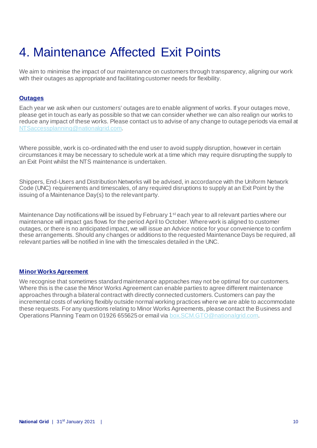# 4. Maintenance Affected Exit Points

We aim to minimise the impact of our maintenance on customers through transparency, aligning our work with their outages as appropriate and facilitating customer needs for flexibility.

#### **Outages**

Each year we ask when our customers' outages are to enable alignment of works. If your outages move, please get in touch as early as possible so that we can consider whether we can also realign our works to reduce any impact of these works. Please contact us to advise of any change to outage periods via email at [NTSaccessplanning@nationalgrid.com](mailto:NTSaccessplanning@nationalgrid.com).

Where possible, work is co-ordinated with the end user to avoid supply disruption, however in certain circumstances it may be necessary to schedule work at a time which may require disrupting the supply to an Exit Point whilst the NTS maintenance is undertaken.

Shippers, End-Users and Distribution Networks will be advised, in accordance with the Uniform Network Code (UNC) requirements and timescales, of any required disruptions to supply at an Exit Point by the issuing of a Maintenance Day(s) to the relevant party.

Maintenance Day notifications will be issued by February 1<sup>st</sup> each year to all relevant parties where our maintenance will impact gas flows for the period April to October. Where work is aligned to customer outages, or there is no anticipated impact, we will issue an Advice notice for your convenience to confirm these arrangements. Should any changes or additions to the requested Maintenance Days be required, all relevant parties will be notified in line with the timescales detailed in the UNC.

#### **Minor Works Agreement**

We recognise that sometimes standard maintenance approaches may not be optimal for our customers. Where this is the case the Minor Works Agreement can enable parties to agree different maintenance approaches through a bilateral contract with directly connected customers. Customers can pay the incremental costs of working flexibly outside normal working practices where we are able to accommodate these requests. For any questions relating to Minor Works Agreements, please contact the Business and Operations Planning Team on 01926 655625 or email via [box.SCM.GTO@nationalgrid.com](mailto:box.SCM.GTO@nationalgrid.com).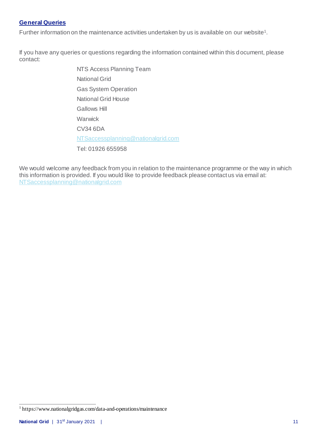#### **General Queries**

Further information on the maintenance activities undertaken by us is available on our website<sup>1</sup>.

If you have any queries or questions regarding the information contained within this document, please contact:

> NTS Access Planning Team National Grid Gas System Operation National Grid House Gallows Hill Warwick CV34 6DA [NTSaccessplanning@nationalgrid.com](mailto:NTSaccessplanning@nationalgrid.com) Tel: 01926 655958

We would welcome any feedback from you in relation to the maintenance programme or the way in which this information is provided. If you would like to provide feedback please contact us via email at: [NTSaccessplanning@nationalgrid.com](mailto:NTSaccessplanning@nationalgrid.com)

 1 https://www.nationalgridgas.com/data-and-operations/maintenance